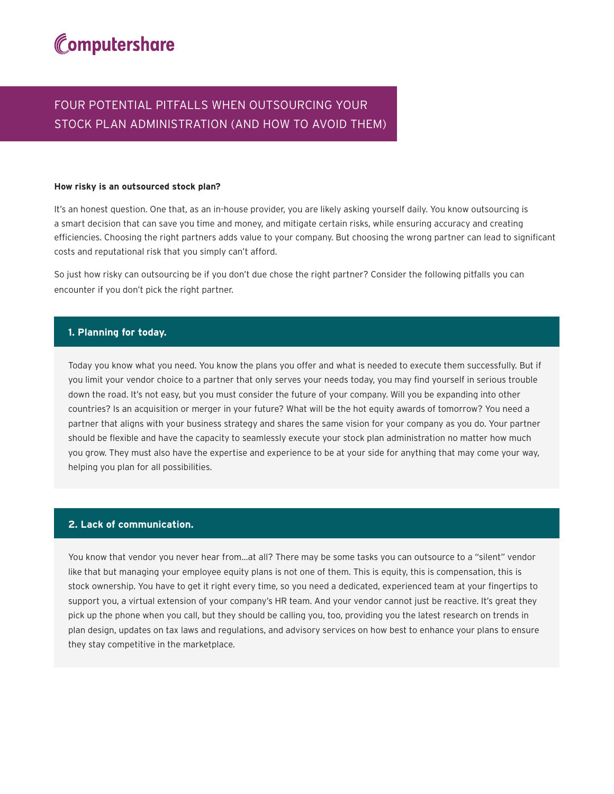# Computershare

## FOUR POTENTIAL PITFALLS WHEN OUTSOURCING YOUR STOCK PLAN ADMINISTRATION (AND HOW TO AVOID THEM)

#### **How risky is an outsourced stock plan?**

It's an honest question. One that, as an in-house provider, you are likely asking yourself daily. You know outsourcing is a smart decision that can save you time and money, and mitigate certain risks, while ensuring accuracy and creating efficiencies. Choosing the right partners adds value to your company. But choosing the wrong partner can lead to significant costs and reputational risk that you simply can't afford.

So just how risky can outsourcing be if you don't due chose the right partner? Consider the following pitfalls you can encounter if you don't pick the right partner.

#### **1. Planning for today.**

Today you know what you need. You know the plans you offer and what is needed to execute them successfully. But if you limit your vendor choice to a partner that only serves your needs today, you may find yourself in serious trouble down the road. It's not easy, but you must consider the future of your company. Will you be expanding into other countries? Is an acquisition or merger in your future? What will be the hot equity awards of tomorrow? You need a partner that aligns with your business strategy and shares the same vision for your company as you do. Your partner should be flexible and have the capacity to seamlessly execute your stock plan administration no matter how much you grow. They must also have the expertise and experience to be at your side for anything that may come your way, helping you plan for all possibilities.

#### **2. Lack of communication.**

You know that vendor you never hear from…at all? There may be some tasks you can outsource to a "silent" vendor like that but managing your employee equity plans is not one of them. This is equity, this is compensation, this is stock ownership. You have to get it right every time, so you need a dedicated, experienced team at your fingertips to support you, a virtual extension of your company's HR team. And your vendor cannot just be reactive. It's great they pick up the phone when you call, but they should be calling you, too, providing you the latest research on trends in plan design, updates on tax laws and regulations, and advisory services on how best to enhance your plans to ensure they stay competitive in the marketplace.